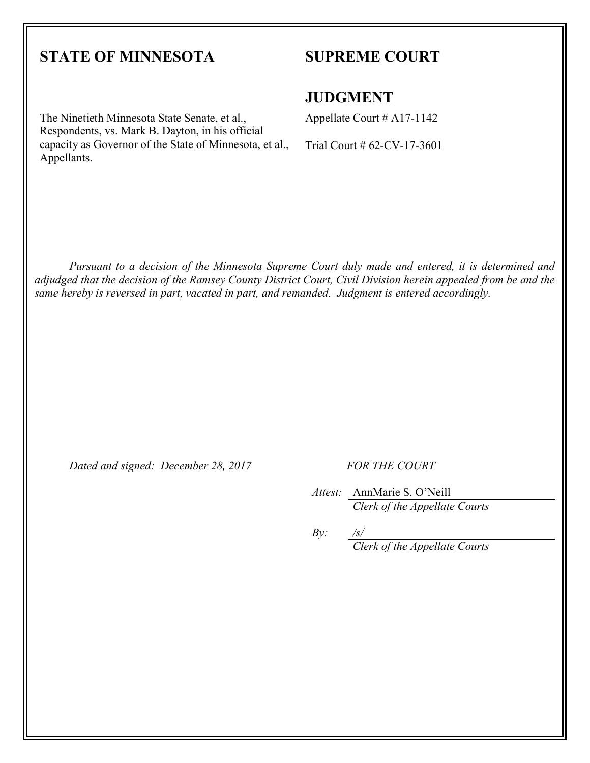# **STATE OF MINNESOTA**

Appellants.

The Ninetieth Minnesota State Senate, et al., Respondents, vs. Mark B. Dayton, in his official capacity as Governor of the State of Minnesota, et al.,

## **SUPREME COURT**

#### **JUDGMENT**

Appellate Court # A17-1142

Trial Court # 62-CV-17-3601

*Pursuant to a decision of the Minnesota Supreme Court duly made and entered, it is determined and adjudged that the decision of the Ramsey County District Court, Civil Division herein appealed from be and the same hereby is reversed in part, vacated in part, and remanded. Judgment is entered accordingly.* 

*Dated and signed: December 28, 2017 FOR THE COURT*

*Attest:* AnnMarie S. O'Neill *Clerk of the Appellate Courts*

 $By:$ *Clerk of the Appellate Courts*